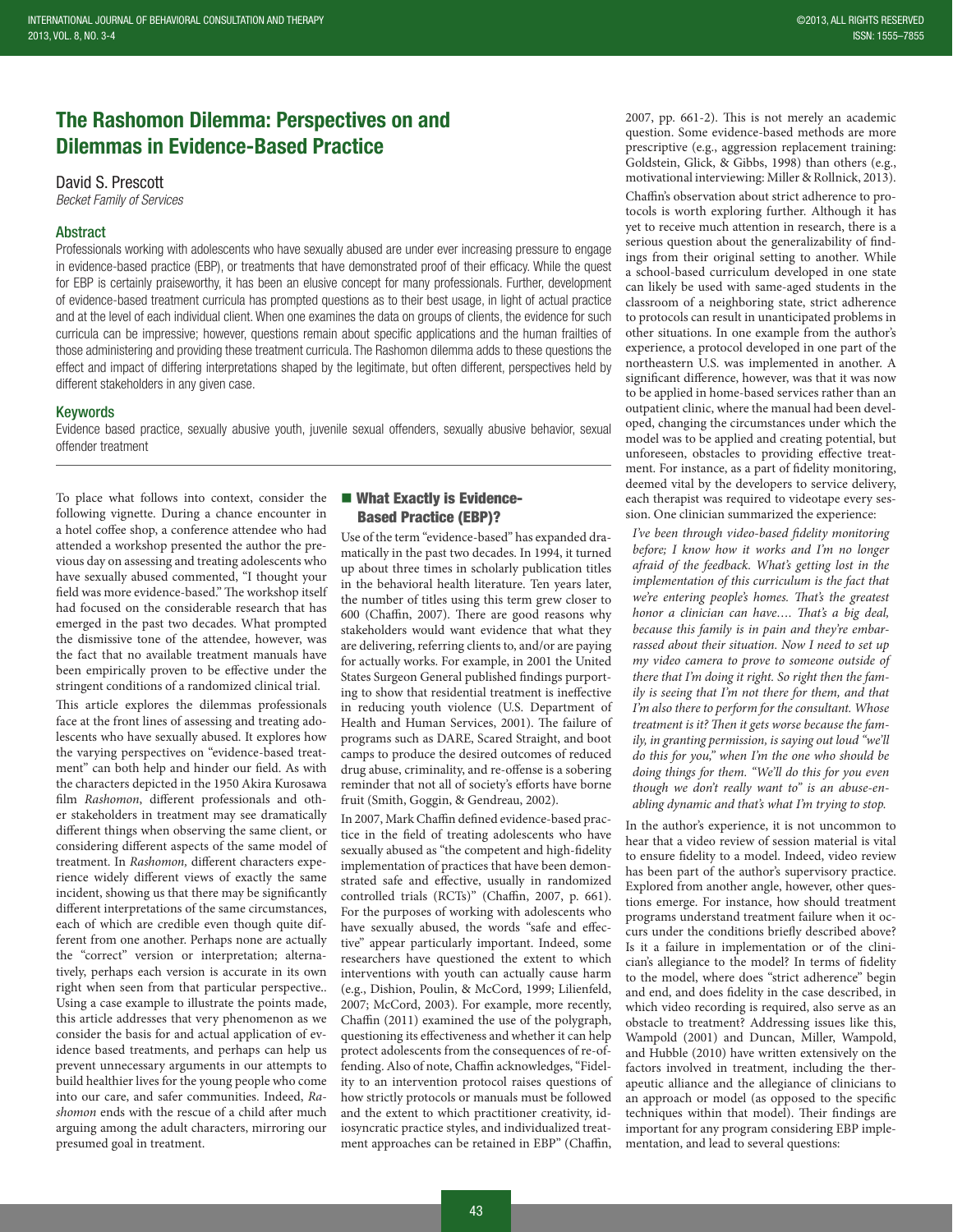# The Rashomon Dilemma: Perspectives on and Dilemmas in Evidence-Based Practice

David S. Prescott

*Becket Family of Services*

## Abstract

Professionals working with adolescents who have sexually abused are under ever increasing pressure to engage in evidence-based practice (EBP), or treatments that have demonstrated proof of their efficacy. While the quest for EBP is certainly praiseworthy, it has been an elusive concept for many professionals. Further, development of evidence-based treatment curricula has prompted questions as to their best usage, in light of actual practice and at the level of each individual client. When one examines the data on groups of clients, the evidence for such curricula can be impressive; however, questions remain about specific applications and the human frailties of those administering and providing these treatment curricula. The Rashomon dilemma adds to these questions the effect and impact of differing interpretations shaped by the legitimate, but often different, perspectives held by different stakeholders in any given case.

#### Keywords

Evidence based practice, sexually abusive youth, juvenile sexual offenders, sexually abusive behavior, sexual offender treatment

To place what follows into context, consider the following vignette. During a chance encounter in a hotel coffee shop, a conference attendee who had attended a workshop presented the author the previous day on assessing and treating adolescents who have sexually abused commented, "I thought your field was more evidence-based." The workshop itself had focused on the considerable research that has emerged in the past two decades. What prompted the dismissive tone of the attendee, however, was the fact that no available treatment manuals have been empirically proven to be effective under the stringent conditions of a randomized clinical trial.

This article explores the dilemmas professionals face at the front lines of assessing and treating adolescents who have sexually abused. It explores how the varying perspectives on "evidence-based treatment" can both help and hinder our field. As with the characters depicted in the 1950 Akira Kurosawa film *Rashomon*, different professionals and other stakeholders in treatment may see dramatically different things when observing the same client, or considering different aspects of the same model of treatment. In *Rashomon,* different characters experience widely different views of exactly the same incident, showing us that there may be significantly different interpretations of the same circumstances, each of which are credible even though quite different from one another. Perhaps none are actually the "correct" version or interpretation; alternatively, perhaps each version is accurate in its own right when seen from that particular perspective.. Using a case example to illustrate the points made, this article addresses that very phenomenon as we consider the basis for and actual application of evidence based treatments, and perhaps can help us prevent unnecessary arguments in our attempts to build healthier lives for the young people who come into our care, and safer communities. Indeed, *Rashomon* ends with the rescue of a child after much arguing among the adult characters, mirroring our presumed goal in treatment.

## What Exactly is Evidence-Based Practice (EBP)?

Use of the term "evidence-based" has expanded dramatically in the past two decades. In 1994, it turned up about three times in scholarly publication titles in the behavioral health literature. Ten years later, the number of titles using this term grew closer to 600 (Chaffin, 2007). There are good reasons why stakeholders would want evidence that what they are delivering, referring clients to, and/or are paying for actually works. For example, in 2001 the United States Surgeon General published findings purporting to show that residential treatment is ineffective in reducing youth violence (U.S. Department of Health and Human Services, 2001). The failure of programs such as DARE, Scared Straight, and boot camps to produce the desired outcomes of reduced drug abuse, criminality, and re-offense is a sobering reminder that not all of society's efforts have borne fruit (Smith, Goggin, & Gendreau, 2002).

In 2007, Mark Chaffin defined evidence-based practice in the field of treating adolescents who have sexually abused as "the competent and high-fidelity implementation of practices that have been demonstrated safe and effective, usually in randomized controlled trials (RCTs)" (Chaffin, 2007, p. 661). For the purposes of working with adolescents who have sexually abused, the words "safe and effective" appear particularly important. Indeed, some researchers have questioned the extent to which interventions with youth can actually cause harm (e.g., Dishion, Poulin, & McCord, 1999; Lilienfeld, 2007; McCord, 2003). For example, more recently, Chaffin (2011) examined the use of the polygraph, questioning its effectiveness and whether it can help protect adolescents from the consequences of re-offending. Also of note, Chaffin acknowledges, "Fidelity to an intervention protocol raises questions of how strictly protocols or manuals must be followed and the extent to which practitioner creativity, idiosyncratic practice styles, and individualized treatment approaches can be retained in EBP" (Chaffin,

2007, pp. 661-2). This is not merely an academic question. Some evidence-based methods are more prescriptive (e.g., aggression replacement training: Goldstein, Glick, & Gibbs, 1998) than others (e.g., motivational interviewing: Miller & Rollnick, 2013).

Chaffin's observation about strict adherence to protocols is worth exploring further. Although it has yet to receive much attention in research, there is a serious question about the generalizability of findings from their original setting to another. While a school-based curriculum developed in one state can likely be used with same-aged students in the classroom of a neighboring state, strict adherence to protocols can result in unanticipated problems in other situations. In one example from the author's experience, a protocol developed in one part of the northeastern U.S. was implemented in another. A significant difference, however, was that it was now to be applied in home-based services rather than an outpatient clinic, where the manual had been developed, changing the circumstances under which the model was to be applied and creating potential, but unforeseen, obstacles to providing effective treatment. For instance, as a part of fidelity monitoring, deemed vital by the developers to service delivery, each therapist was required to videotape every session. One clinician summarized the experience:

*I've been through video-based fidelity monitoring before; I know how it works and I'm no longer afraid of the feedback. What's getting lost in the implementation of this curriculum is the fact that we're entering people's homes. That's the greatest honor a clinician can have…. That's a big deal, because this family is in pain and they're embarrassed about their situation. Now I need to set up my video camera to prove to someone outside of there that I'm doing it right. So right then the family is seeing that I'm not there for them, and that I'm also there to perform for the consultant. Whose treatment is it? Then it gets worse because the family, in granting permission, is saying out loud "we'll do this for you," when I'm the one who should be doing things for them. "We'll do this for you even though we don't really want to" is an abuse-enabling dynamic and that's what I'm trying to stop.*

In the author's experience, it is not uncommon to hear that a video review of session material is vital to ensure fidelity to a model. Indeed, video review has been part of the author's supervisory practice. Explored from another angle, however, other questions emerge. For instance, how should treatment programs understand treatment failure when it occurs under the conditions briefly described above? Is it a failure in implementation or of the clinician's allegiance to the model? In terms of fidelity to the model, where does "strict adherence" begin and end, and does fidelity in the case described, in which video recording is required, also serve as an obstacle to treatment? Addressing issues like this, Wampold (2001) and Duncan, Miller, Wampold, and Hubble (2010) have written extensively on the factors involved in treatment, including the therapeutic alliance and the allegiance of clinicians to an approach or model (as opposed to the specific techniques within that model). Their findings are important for any program considering EBP implementation, and lead to several questions: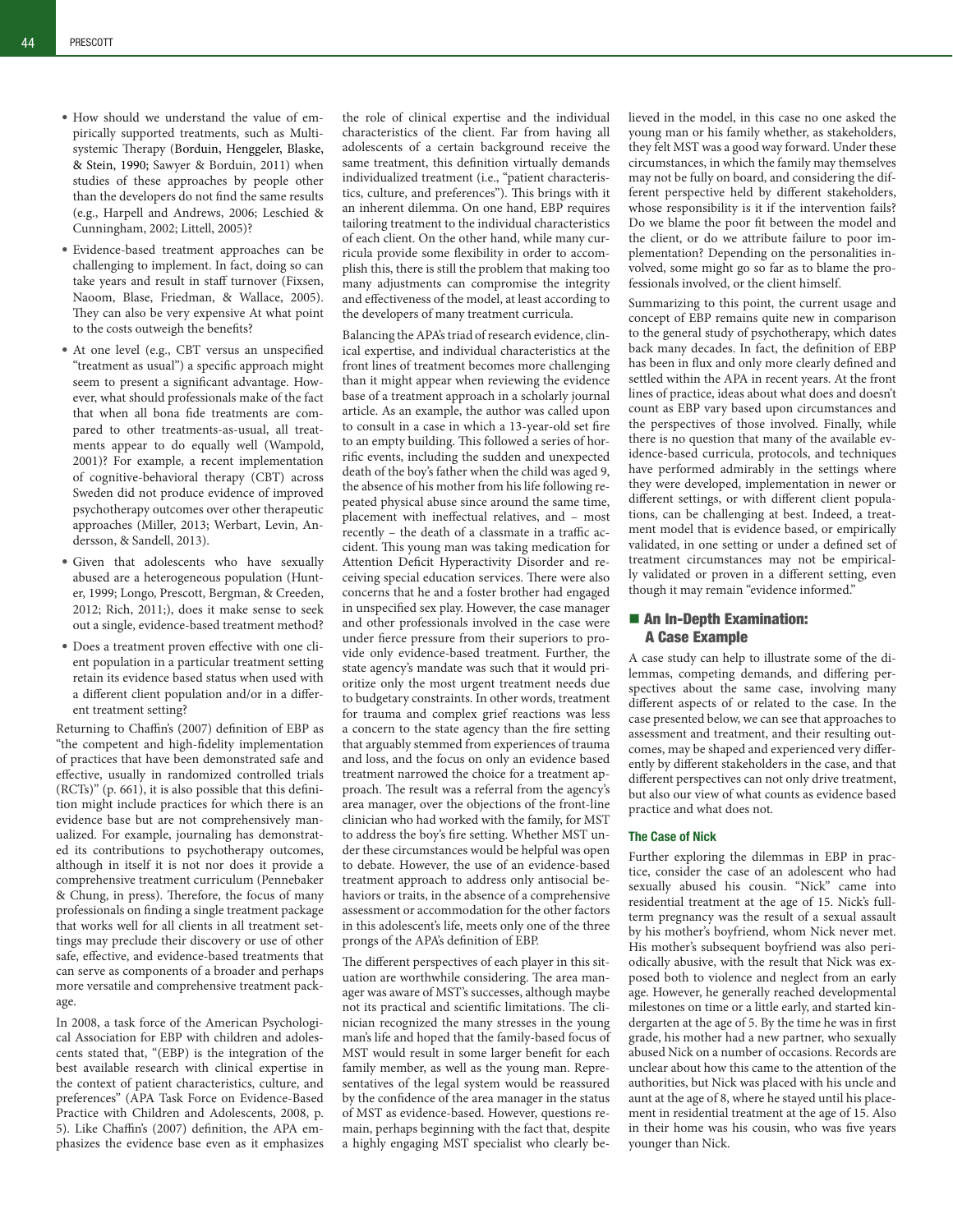- • How should we understand the value of empirically supported treatments, such as Multisystemic Therapy (Borduin, Henggeler, Blaske, & Stein, 1990; Sawyer & Borduin, 2011) when studies of these approaches by people other than the developers do not find the same results (e.g., Harpell and Andrews, 2006; Leschied & Cunningham, 2002; Littell, 2005)?
- • Evidence-based treatment approaches can be challenging to implement. In fact, doing so can take years and result in staff turnover (Fixsen, Naoom, Blase, Friedman, & Wallace, 2005). They can also be very expensive At what point to the costs outweigh the benefits?
- • At one level (e.g., CBT versus an unspecified "treatment as usual") a specific approach might seem to present a significant advantage. However, what should professionals make of the fact that when all bona fide treatments are compared to other treatments-as-usual, all treatments appear to do equally well (Wampold, 2001)? For example, a recent implementation of cognitive-behavioral therapy (CBT) across Sweden did not produce evidence of improved psychotherapy outcomes over other therapeutic approaches (Miller, 2013; Werbart, Levin, Andersson, & Sandell, 2013).
- • Given that adolescents who have sexually abused are a heterogeneous population (Hunter, 1999; Longo, Prescott, Bergman, & Creeden, 2012; Rich, 2011;), does it make sense to seek out a single, evidence-based treatment method?
- • Does a treatment proven effective with one client population in a particular treatment setting retain its evidence based status when used with a different client population and/or in a different treatment setting?

Returning to Chaffin's (2007) definition of EBP as "the competent and high-fidelity implementation of practices that have been demonstrated safe and effective, usually in randomized controlled trials (RCTs)" (p. 661), it is also possible that this definition might include practices for which there is an evidence base but are not comprehensively manualized. For example, journaling has demonstrated its contributions to psychotherapy outcomes, although in itself it is not nor does it provide a comprehensive treatment curriculum (Pennebaker & Chung, in press). Therefore, the focus of many professionals on finding a single treatment package that works well for all clients in all treatment settings may preclude their discovery or use of other safe, effective, and evidence-based treatments that can serve as components of a broader and perhaps more versatile and comprehensive treatment package.

In 2008, a task force of the American Psychological Association for EBP with children and adolescents stated that, "(EBP) is the integration of the best available research with clinical expertise in the context of patient characteristics, culture, and preferences" (APA Task Force on Evidence-Based Practice with Children and Adolescents, 2008, p. 5). Like Chaffin's (2007) definition, the APA emphasizes the evidence base even as it emphasizes

the role of clinical expertise and the individual characteristics of the client. Far from having all adolescents of a certain background receive the same treatment, this definition virtually demands individualized treatment (i.e., "patient characteristics, culture, and preferences"). This brings with it an inherent dilemma. On one hand, EBP requires tailoring treatment to the individual characteristics of each client. On the other hand, while many curricula provide some flexibility in order to accomplish this, there is still the problem that making too many adjustments can compromise the integrity and effectiveness of the model, at least according to the developers of many treatment curricula.

Balancing the APA's triad of research evidence, clinical expertise, and individual characteristics at the front lines of treatment becomes more challenging than it might appear when reviewing the evidence base of a treatment approach in a scholarly journal article. As an example, the author was called upon to consult in a case in which a 13-year-old set fire to an empty building. This followed a series of horrific events, including the sudden and unexpected death of the boy's father when the child was aged 9, the absence of his mother from his life following repeated physical abuse since around the same time, placement with ineffectual relatives, and – most recently – the death of a classmate in a traffic accident. This young man was taking medication for Attention Deficit Hyperactivity Disorder and receiving special education services. There were also concerns that he and a foster brother had engaged in unspecified sex play. However, the case manager and other professionals involved in the case were under fierce pressure from their superiors to provide only evidence-based treatment. Further, the state agency's mandate was such that it would prioritize only the most urgent treatment needs due to budgetary constraints. In other words, treatment for trauma and complex grief reactions was less a concern to the state agency than the fire setting that arguably stemmed from experiences of trauma and loss, and the focus on only an evidence based treatment narrowed the choice for a treatment approach. The result was a referral from the agency's area manager, over the objections of the front-line clinician who had worked with the family, for MST to address the boy's fire setting. Whether MST under these circumstances would be helpful was open to debate. However, the use of an evidence-based treatment approach to address only antisocial behaviors or traits, in the absence of a comprehensive assessment or accommodation for the other factors in this adolescent's life, meets only one of the three prongs of the APA's definition of EBP.

The different perspectives of each player in this situation are worthwhile considering. The area manager was aware of MST's successes, although maybe not its practical and scientific limitations. The clinician recognized the many stresses in the young man's life and hoped that the family-based focus of MST would result in some larger benefit for each family member, as well as the young man. Representatives of the legal system would be reassured by the confidence of the area manager in the status of MST as evidence-based. However, questions remain, perhaps beginning with the fact that, despite a highly engaging MST specialist who clearly believed in the model, in this case no one asked the young man or his family whether, as stakeholders, they felt MST was a good way forward. Under these circumstances, in which the family may themselves may not be fully on board, and considering the different perspective held by different stakeholders, whose responsibility is it if the intervention fails? Do we blame the poor fit between the model and the client, or do we attribute failure to poor implementation? Depending on the personalities involved, some might go so far as to blame the professionals involved, or the client himself.

Summarizing to this point, the current usage and concept of EBP remains quite new in comparison to the general study of psychotherapy, which dates back many decades. In fact, the definition of EBP has been in flux and only more clearly defined and settled within the APA in recent years. At the front lines of practice, ideas about what does and doesn't count as EBP vary based upon circumstances and the perspectives of those involved. Finally, while there is no question that many of the available evidence-based curricula, protocols, and techniques have performed admirably in the settings where they were developed, implementation in newer or different settings, or with different client populations, can be challenging at best. Indeed, a treatment model that is evidence based, or empirically validated, in one setting or under a defined set of treatment circumstances may not be empirically validated or proven in a different setting, even though it may remain "evidence informed."

## ■ An In-Depth Examination: A Case Example

A case study can help to illustrate some of the dilemmas, competing demands, and differing perspectives about the same case, involving many different aspects of or related to the case. In the case presented below, we can see that approaches to assessment and treatment, and their resulting outcomes, may be shaped and experienced very differently by different stakeholders in the case, and that different perspectives can not only drive treatment, but also our view of what counts as evidence based practice and what does not.

#### The Case of Nick

Further exploring the dilemmas in EBP in practice, consider the case of an adolescent who had sexually abused his cousin. "Nick" came into residential treatment at the age of 15. Nick's fullterm pregnancy was the result of a sexual assault by his mother's boyfriend, whom Nick never met. His mother's subsequent boyfriend was also periodically abusive, with the result that Nick was exposed both to violence and neglect from an early age. However, he generally reached developmental milestones on time or a little early, and started kindergarten at the age of 5. By the time he was in first grade, his mother had a new partner, who sexually abused Nick on a number of occasions. Records are unclear about how this came to the attention of the authorities, but Nick was placed with his uncle and aunt at the age of 8, where he stayed until his placement in residential treatment at the age of 15. Also in their home was his cousin, who was five years younger than Nick.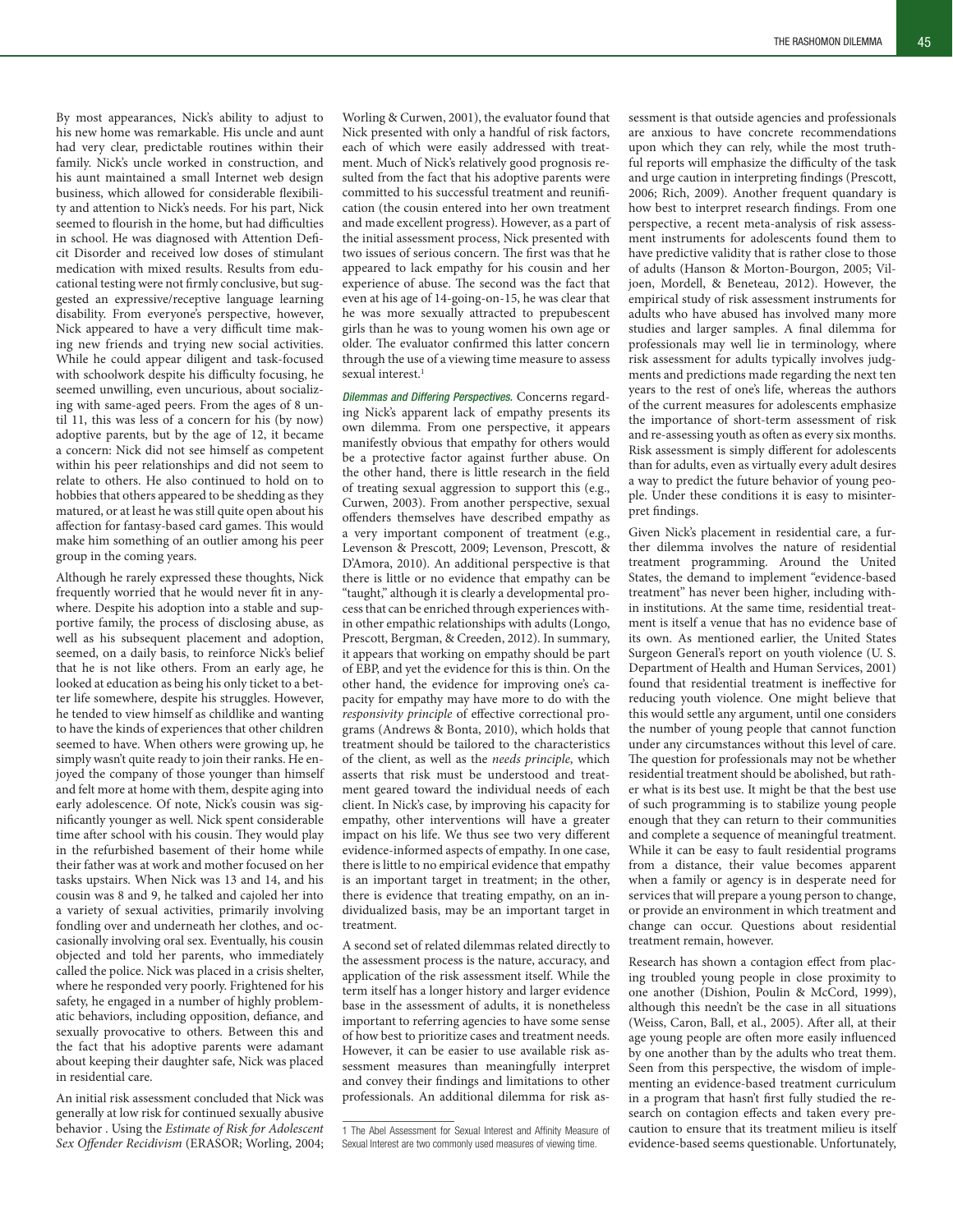By most appearances, Nick's ability to adjust to his new home was remarkable. His uncle and aunt had very clear, predictable routines within their family. Nick's uncle worked in construction, and his aunt maintained a small Internet web design business, which allowed for considerable flexibility and attention to Nick's needs. For his part, Nick seemed to flourish in the home, but had difficulties in school. He was diagnosed with Attention Deficit Disorder and received low doses of stimulant medication with mixed results. Results from educational testing were not firmly conclusive, but suggested an expressive/receptive language learning disability. From everyone's perspective, however, Nick appeared to have a very difficult time making new friends and trying new social activities. While he could appear diligent and task-focused with schoolwork despite his difficulty focusing, he seemed unwilling, even uncurious, about socializing with same-aged peers. From the ages of 8 until 11, this was less of a concern for his (by now) adoptive parents, but by the age of 12, it became a concern: Nick did not see himself as competent within his peer relationships and did not seem to relate to others. He also continued to hold on to hobbies that others appeared to be shedding as they matured, or at least he was still quite open about his affection for fantasy-based card games. This would make him something of an outlier among his peer group in the coming years.

Although he rarely expressed these thoughts, Nick frequently worried that he would never fit in anywhere. Despite his adoption into a stable and supportive family, the process of disclosing abuse, as well as his subsequent placement and adoption, seemed, on a daily basis, to reinforce Nick's belief that he is not like others. From an early age, he looked at education as being his only ticket to a better life somewhere, despite his struggles. However, he tended to view himself as childlike and wanting to have the kinds of experiences that other children seemed to have. When others were growing up, he simply wasn't quite ready to join their ranks. He enjoyed the company of those younger than himself and felt more at home with them, despite aging into early adolescence. Of note, Nick's cousin was significantly younger as well. Nick spent considerable time after school with his cousin. They would play in the refurbished basement of their home while their father was at work and mother focused on her tasks upstairs. When Nick was 13 and 14, and his cousin was 8 and 9, he talked and cajoled her into a variety of sexual activities, primarily involving fondling over and underneath her clothes, and occasionally involving oral sex. Eventually, his cousin objected and told her parents, who immediately called the police. Nick was placed in a crisis shelter, where he responded very poorly. Frightened for his safety, he engaged in a number of highly problematic behaviors, including opposition, defiance, and sexually provocative to others. Between this and the fact that his adoptive parents were adamant about keeping their daughter safe, Nick was placed in residential care.

An initial risk assessment concluded that Nick was generally at low risk for continued sexually abusive behavior . Using the *Estimate of Risk for Adolescent Sex Offender Recidivism* (ERASOR; Worling, 2004; Worling & Curwen, 2001), the evaluator found that Nick presented with only a handful of risk factors, each of which were easily addressed with treatment. Much of Nick's relatively good prognosis resulted from the fact that his adoptive parents were committed to his successful treatment and reunification (the cousin entered into her own treatment and made excellent progress). However, as a part of the initial assessment process, Nick presented with two issues of serious concern. The first was that he appeared to lack empathy for his cousin and her experience of abuse. The second was the fact that even at his age of 14-going-on-15, he was clear that he was more sexually attracted to prepubescent girls than he was to young women his own age or older. The evaluator confirmed this latter concern through the use of a viewing time measure to assess sexual interest.<sup>1</sup>

*Dilemmas and Differing Perspectives.* Concerns regarding Nick's apparent lack of empathy presents its own dilemma. From one perspective, it appears manifestly obvious that empathy for others would be a protective factor against further abuse. On the other hand, there is little research in the field of treating sexual aggression to support this (e.g., Curwen, 2003). From another perspective, sexual offenders themselves have described empathy as a very important component of treatment (e.g., Levenson & Prescott, 2009; Levenson, Prescott, & D'Amora, 2010). An additional perspective is that there is little or no evidence that empathy can be "taught," although it is clearly a developmental process that can be enriched through experiences within other empathic relationships with adults (Longo, Prescott, Bergman, & Creeden, 2012). In summary, it appears that working on empathy should be part of EBP, and yet the evidence for this is thin. On the other hand, the evidence for improving one's capacity for empathy may have more to do with the *responsivity principle* of effective correctional programs (Andrews & Bonta, 2010), which holds that treatment should be tailored to the characteristics of the client, as well as the *needs principle*, which asserts that risk must be understood and treatment geared toward the individual needs of each client. In Nick's case, by improving his capacity for empathy, other interventions will have a greater impact on his life. We thus see two very different evidence-informed aspects of empathy. In one case, there is little to no empirical evidence that empathy is an important target in treatment; in the other, there is evidence that treating empathy, on an individualized basis, may be an important target in treatment.

A second set of related dilemmas related directly to the assessment process is the nature, accuracy, and application of the risk assessment itself. While the term itself has a longer history and larger evidence base in the assessment of adults, it is nonetheless important to referring agencies to have some sense of how best to prioritize cases and treatment needs. However, it can be easier to use available risk assessment measures than meaningfully interpret and convey their findings and limitations to other professionals. An additional dilemma for risk assessment is that outside agencies and professionals are anxious to have concrete recommendations upon which they can rely, while the most truthful reports will emphasize the difficulty of the task and urge caution in interpreting findings (Prescott, 2006; Rich, 2009). Another frequent quandary is how best to interpret research findings. From one perspective, a recent meta-analysis of risk assessment instruments for adolescents found them to have predictive validity that is rather close to those of adults (Hanson & Morton-Bourgon, 2005; Viljoen, Mordell, & Beneteau, 2012). However, the empirical study of risk assessment instruments for adults who have abused has involved many more studies and larger samples. A final dilemma for professionals may well lie in terminology, where risk assessment for adults typically involves judgments and predictions made regarding the next ten years to the rest of one's life, whereas the authors of the current measures for adolescents emphasize the importance of short-term assessment of risk and re-assessing youth as often as every six months. Risk assessment is simply different for adolescents than for adults, even as virtually every adult desires a way to predict the future behavior of young people. Under these conditions it is easy to misinterpret findings.

Given Nick's placement in residential care, a further dilemma involves the nature of residential treatment programming. Around the United States, the demand to implement "evidence-based treatment" has never been higher, including within institutions. At the same time, residential treatment is itself a venue that has no evidence base of its own. As mentioned earlier, the United States Surgeon General's report on youth violence (U. S. Department of Health and Human Services, 2001) found that residential treatment is ineffective for reducing youth violence. One might believe that this would settle any argument, until one considers the number of young people that cannot function under any circumstances without this level of care. The question for professionals may not be whether residential treatment should be abolished, but rather what is its best use. It might be that the best use of such programming is to stabilize young people enough that they can return to their communities and complete a sequence of meaningful treatment. While it can be easy to fault residential programs from a distance, their value becomes apparent when a family or agency is in desperate need for services that will prepare a young person to change, or provide an environment in which treatment and change can occur. Questions about residential treatment remain, however.

Research has shown a contagion effect from placing troubled young people in close proximity to one another (Dishion, Poulin & McCord, 1999), although this needn't be the case in all situations (Weiss, Caron, Ball, et al., 2005). After all, at their age young people are often more easily influenced by one another than by the adults who treat them. Seen from this perspective, the wisdom of implementing an evidence-based treatment curriculum in a program that hasn't first fully studied the research on contagion effects and taken every precaution to ensure that its treatment milieu is itself evidence-based seems questionable. Unfortunately,

<sup>1</sup> The Abel Assessment for Sexual Interest and Affinity Measure of Sexual Interest are two commonly used measures of viewing time.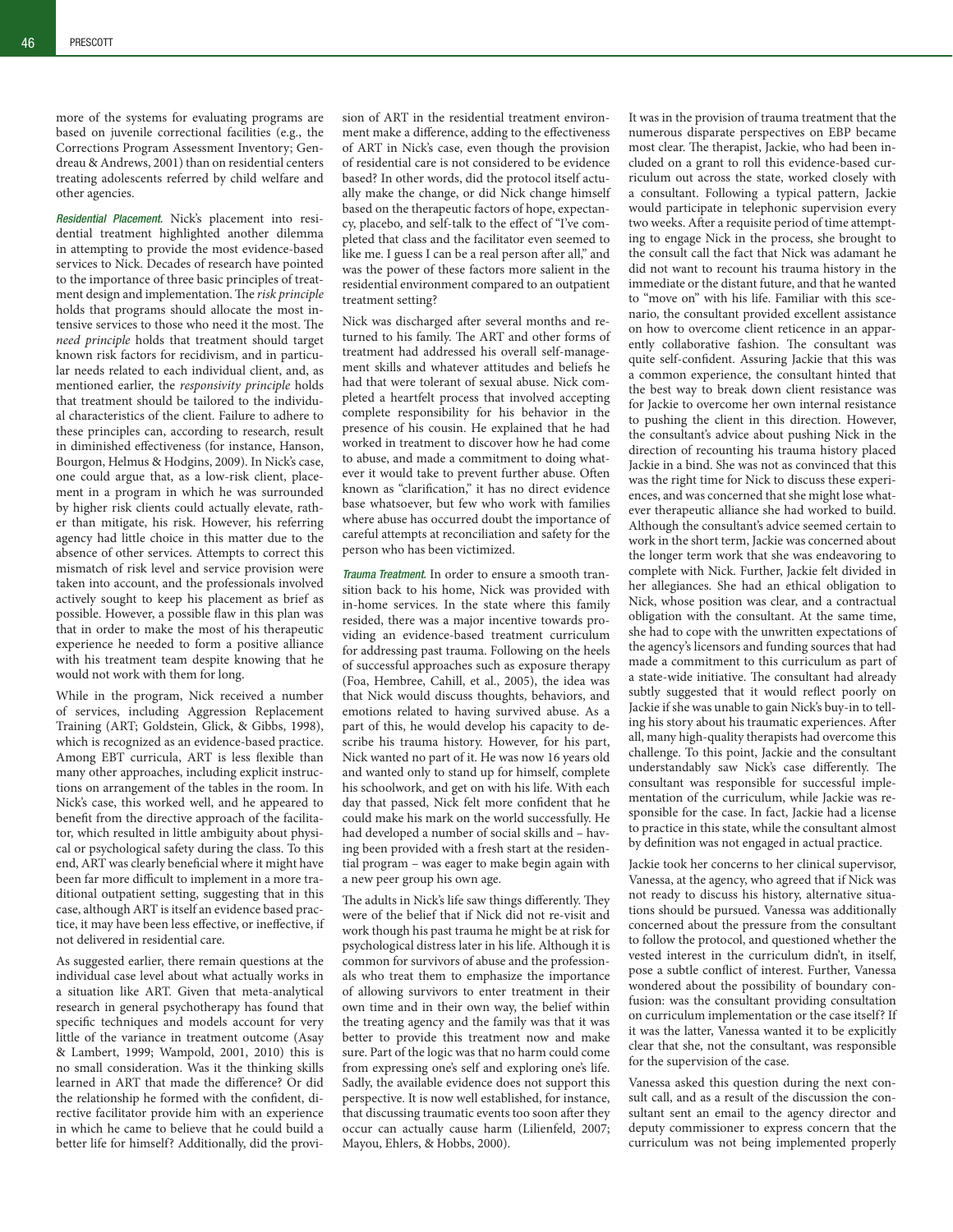more of the systems for evaluating programs are based on juvenile correctional facilities (e.g., the Corrections Program Assessment Inventory; Gendreau & Andrews, 2001) than on residential centers treating adolescents referred by child welfare and other agencies.

*Residential Placement.* Nick's placement into residential treatment highlighted another dilemma in attempting to provide the most evidence-based services to Nick. Decades of research have pointed to the importance of three basic principles of treatment design and implementation. The *risk principle*  holds that programs should allocate the most intensive services to those who need it the most. The *need principle* holds that treatment should target known risk factors for recidivism, and in particular needs related to each individual client, and, as mentioned earlier, the *responsivity principle* holds that treatment should be tailored to the individual characteristics of the client. Failure to adhere to these principles can, according to research, result in diminished effectiveness (for instance, Hanson, Bourgon, Helmus & Hodgins, 2009). In Nick's case, one could argue that, as a low-risk client, placement in a program in which he was surrounded by higher risk clients could actually elevate, rather than mitigate, his risk. However, his referring agency had little choice in this matter due to the absence of other services. Attempts to correct this mismatch of risk level and service provision were taken into account, and the professionals involved actively sought to keep his placement as brief as possible. However, a possible flaw in this plan was that in order to make the most of his therapeutic experience he needed to form a positive alliance with his treatment team despite knowing that he would not work with them for long.

While in the program, Nick received a number of services, including Aggression Replacement Training (ART; Goldstein, Glick, & Gibbs, 1998), which is recognized as an evidence-based practice. Among EBT curricula, ART is less flexible than many other approaches, including explicit instructions on arrangement of the tables in the room. In Nick's case, this worked well, and he appeared to benefit from the directive approach of the facilitator, which resulted in little ambiguity about physical or psychological safety during the class. To this end, ART was clearly beneficial where it might have been far more difficult to implement in a more traditional outpatient setting, suggesting that in this case, although ART is itself an evidence based practice, it may have been less effective, or ineffective, if not delivered in residential care.

As suggested earlier, there remain questions at the individual case level about what actually works in a situation like ART. Given that meta-analytical research in general psychotherapy has found that specific techniques and models account for very little of the variance in treatment outcome (Asay & Lambert, 1999; Wampold, 2001, 2010) this is no small consideration. Was it the thinking skills learned in ART that made the difference? Or did the relationship he formed with the confident, directive facilitator provide him with an experience in which he came to believe that he could build a better life for himself? Additionally, did the provision of ART in the residential treatment environment make a difference, adding to the effectiveness of ART in Nick's case, even though the provision of residential care is not considered to be evidence based? In other words, did the protocol itself actually make the change, or did Nick change himself based on the therapeutic factors of hope, expectancy, placebo, and self-talk to the effect of "I've completed that class and the facilitator even seemed to like me. I guess I can be a real person after all," and was the power of these factors more salient in the residential environment compared to an outpatient treatment setting?

Nick was discharged after several months and returned to his family. The ART and other forms of treatment had addressed his overall self-management skills and whatever attitudes and beliefs he had that were tolerant of sexual abuse. Nick completed a heartfelt process that involved accepting complete responsibility for his behavior in the presence of his cousin. He explained that he had worked in treatment to discover how he had come to abuse, and made a commitment to doing whatever it would take to prevent further abuse. Often known as "clarification," it has no direct evidence base whatsoever, but few who work with families where abuse has occurred doubt the importance of careful attempts at reconciliation and safety for the person who has been victimized.

*Trauma Treatment.* In order to ensure a smooth transition back to his home, Nick was provided with in-home services. In the state where this family resided, there was a major incentive towards providing an evidence-based treatment curriculum for addressing past trauma. Following on the heels of successful approaches such as exposure therapy (Foa, Hembree, Cahill, et al., 2005), the idea was that Nick would discuss thoughts, behaviors, and emotions related to having survived abuse. As a part of this, he would develop his capacity to describe his trauma history. However, for his part, Nick wanted no part of it. He was now 16 years old and wanted only to stand up for himself, complete his schoolwork, and get on with his life. With each day that passed, Nick felt more confident that he could make his mark on the world successfully. He had developed a number of social skills and – having been provided with a fresh start at the residential program – was eager to make begin again with a new peer group his own age.

The adults in Nick's life saw things differently. They were of the belief that if Nick did not re-visit and work though his past trauma he might be at risk for psychological distress later in his life. Although it is common for survivors of abuse and the professionals who treat them to emphasize the importance of allowing survivors to enter treatment in their own time and in their own way, the belief within the treating agency and the family was that it was better to provide this treatment now and make sure. Part of the logic was that no harm could come from expressing one's self and exploring one's life. Sadly, the available evidence does not support this perspective. It is now well established, for instance, that discussing traumatic events too soon after they occur can actually cause harm (Lilienfeld, 2007; Mayou, Ehlers, & Hobbs, 2000).

It was in the provision of trauma treatment that the numerous disparate perspectives on EBP became most clear. The therapist, Jackie, who had been included on a grant to roll this evidence-based curriculum out across the state, worked closely with a consultant. Following a typical pattern, Jackie would participate in telephonic supervision every two weeks. After a requisite period of time attempting to engage Nick in the process, she brought to the consult call the fact that Nick was adamant he did not want to recount his trauma history in the immediate or the distant future, and that he wanted to "move on" with his life. Familiar with this scenario, the consultant provided excellent assistance on how to overcome client reticence in an apparently collaborative fashion. The consultant was quite self-confident. Assuring Jackie that this was a common experience, the consultant hinted that the best way to break down client resistance was for Jackie to overcome her own internal resistance to pushing the client in this direction. However, the consultant's advice about pushing Nick in the direction of recounting his trauma history placed Jackie in a bind. She was not as convinced that this was the right time for Nick to discuss these experiences, and was concerned that she might lose whatever therapeutic alliance she had worked to build. Although the consultant's advice seemed certain to work in the short term, Jackie was concerned about the longer term work that she was endeavoring to complete with Nick. Further, Jackie felt divided in her allegiances. She had an ethical obligation to Nick, whose position was clear, and a contractual obligation with the consultant. At the same time, she had to cope with the unwritten expectations of the agency's licensors and funding sources that had made a commitment to this curriculum as part of a state-wide initiative. The consultant had already subtly suggested that it would reflect poorly on Jackie if she was unable to gain Nick's buy-in to telling his story about his traumatic experiences. After all, many high-quality therapists had overcome this challenge. To this point, Jackie and the consultant understandably saw Nick's case differently. The consultant was responsible for successful implementation of the curriculum, while Jackie was responsible for the case. In fact, Jackie had a license to practice in this state, while the consultant almost by definition was not engaged in actual practice.

Jackie took her concerns to her clinical supervisor, Vanessa, at the agency, who agreed that if Nick was not ready to discuss his history, alternative situations should be pursued. Vanessa was additionally concerned about the pressure from the consultant to follow the protocol, and questioned whether the vested interest in the curriculum didn't, in itself, pose a subtle conflict of interest. Further, Vanessa wondered about the possibility of boundary confusion: was the consultant providing consultation on curriculum implementation or the case itself? If it was the latter, Vanessa wanted it to be explicitly clear that she, not the consultant, was responsible for the supervision of the case.

Vanessa asked this question during the next consult call, and as a result of the discussion the consultant sent an email to the agency director and deputy commissioner to express concern that the curriculum was not being implemented properly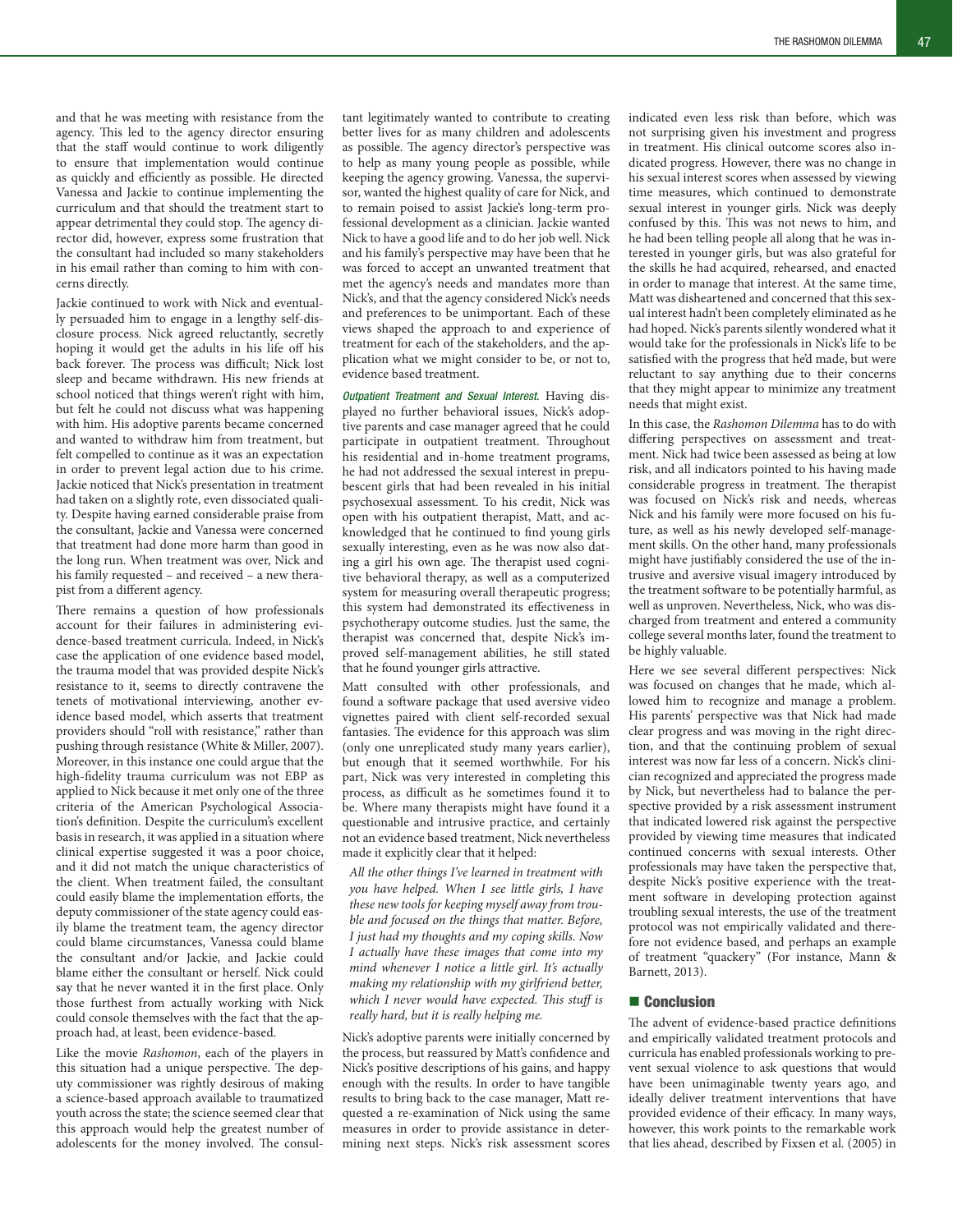and that he was meeting with resistance from the agency. This led to the agency director ensuring that the staff would continue to work diligently to ensure that implementation would continue as quickly and efficiently as possible. He directed Vanessa and Jackie to continue implementing the curriculum and that should the treatment start to appear detrimental they could stop. The agency director did, however, express some frustration that the consultant had included so many stakeholders in his email rather than coming to him with concerns directly.

Jackie continued to work with Nick and eventually persuaded him to engage in a lengthy self-disclosure process. Nick agreed reluctantly, secretly hoping it would get the adults in his life off his back forever. The process was difficult; Nick lost sleep and became withdrawn. His new friends at school noticed that things weren't right with him, but felt he could not discuss what was happening with him. His adoptive parents became concerned and wanted to withdraw him from treatment, but felt compelled to continue as it was an expectation in order to prevent legal action due to his crime. Jackie noticed that Nick's presentation in treatment had taken on a slightly rote, even dissociated quality. Despite having earned considerable praise from the consultant, Jackie and Vanessa were concerned that treatment had done more harm than good in the long run. When treatment was over, Nick and his family requested – and received – a new therapist from a different agency.

There remains a question of how professionals account for their failures in administering evidence-based treatment curricula. Indeed, in Nick's case the application of one evidence based model, the trauma model that was provided despite Nick's resistance to it, seems to directly contravene the tenets of motivational interviewing, another evidence based model, which asserts that treatment providers should "roll with resistance," rather than pushing through resistance (White & Miller, 2007). Moreover, in this instance one could argue that the high-fidelity trauma curriculum was not EBP as applied to Nick because it met only one of the three criteria of the American Psychological Association's definition. Despite the curriculum's excellent basis in research, it was applied in a situation where clinical expertise suggested it was a poor choice, and it did not match the unique characteristics of the client. When treatment failed, the consultant could easily blame the implementation efforts, the deputy commissioner of the state agency could easily blame the treatment team, the agency director could blame circumstances, Vanessa could blame the consultant and/or Jackie, and Jackie could blame either the consultant or herself. Nick could say that he never wanted it in the first place. Only those furthest from actually working with Nick could console themselves with the fact that the approach had, at least, been evidence-based.

Like the movie *Rashomon*, each of the players in this situation had a unique perspective. The deputy commissioner was rightly desirous of making a science-based approach available to traumatized youth across the state; the science seemed clear that this approach would help the greatest number of adolescents for the money involved. The consultant legitimately wanted to contribute to creating better lives for as many children and adolescents as possible. The agency director's perspective was to help as many young people as possible, while keeping the agency growing. Vanessa, the supervisor, wanted the highest quality of care for Nick, and to remain poised to assist Jackie's long-term professional development as a clinician. Jackie wanted Nick to have a good life and to do her job well. Nick and his family's perspective may have been that he was forced to accept an unwanted treatment that met the agency's needs and mandates more than Nick's, and that the agency considered Nick's needs and preferences to be unimportant. Each of these views shaped the approach to and experience of treatment for each of the stakeholders, and the application what we might consider to be, or not to, evidence based treatment.

*Outpatient Treatment and Sexual Interest.* Having displayed no further behavioral issues, Nick's adoptive parents and case manager agreed that he could participate in outpatient treatment. Throughout his residential and in-home treatment programs, he had not addressed the sexual interest in prepubescent girls that had been revealed in his initial psychosexual assessment. To his credit, Nick was open with his outpatient therapist, Matt, and acknowledged that he continued to find young girls sexually interesting, even as he was now also dating a girl his own age. The therapist used cognitive behavioral therapy, as well as a computerized system for measuring overall therapeutic progress; this system had demonstrated its effectiveness in psychotherapy outcome studies. Just the same, the therapist was concerned that, despite Nick's improved self-management abilities, he still stated that he found younger girls attractive.

Matt consulted with other professionals, and found a software package that used aversive video vignettes paired with client self-recorded sexual fantasies. The evidence for this approach was slim (only one unreplicated study many years earlier), but enough that it seemed worthwhile. For his part, Nick was very interested in completing this process, as difficult as he sometimes found it to be. Where many therapists might have found it a questionable and intrusive practice, and certainly not an evidence based treatment, Nick nevertheless made it explicitly clear that it helped:

*All the other things I've learned in treatment with you have helped. When I see little girls, I have these new tools for keeping myself away from trouble and focused on the things that matter. Before, I just had my thoughts and my coping skills. Now I actually have these images that come into my mind whenever I notice a little girl. It's actually making my relationship with my girlfriend better, which I never would have expected. This stuff is really hard, but it is really helping me.*

Nick's adoptive parents were initially concerned by the process, but reassured by Matt's confidence and Nick's positive descriptions of his gains, and happy enough with the results. In order to have tangible results to bring back to the case manager, Matt requested a re-examination of Nick using the same measures in order to provide assistance in determining next steps. Nick's risk assessment scores

indicated even less risk than before, which was not surprising given his investment and progress in treatment. His clinical outcome scores also indicated progress. However, there was no change in his sexual interest scores when assessed by viewing time measures, which continued to demonstrate sexual interest in younger girls. Nick was deeply confused by this. This was not news to him, and he had been telling people all along that he was interested in younger girls, but was also grateful for the skills he had acquired, rehearsed, and enacted in order to manage that interest. At the same time, Matt was disheartened and concerned that this sexual interest hadn't been completely eliminated as he had hoped. Nick's parents silently wondered what it would take for the professionals in Nick's life to be satisfied with the progress that he'd made, but were reluctant to say anything due to their concerns that they might appear to minimize any treatment needs that might exist.

In this case, the *Rashomon Dilemma* has to do with differing perspectives on assessment and treatment. Nick had twice been assessed as being at low risk, and all indicators pointed to his having made considerable progress in treatment. The therapist was focused on Nick's risk and needs, whereas Nick and his family were more focused on his future, as well as his newly developed self-management skills. On the other hand, many professionals might have justifiably considered the use of the intrusive and aversive visual imagery introduced by the treatment software to be potentially harmful, as well as unproven. Nevertheless, Nick, who was discharged from treatment and entered a community college several months later, found the treatment to be highly valuable.

Here we see several different perspectives: Nick was focused on changes that he made, which allowed him to recognize and manage a problem. His parents' perspective was that Nick had made clear progress and was moving in the right direction, and that the continuing problem of sexual interest was now far less of a concern. Nick's clinician recognized and appreciated the progress made by Nick, but nevertheless had to balance the perspective provided by a risk assessment instrument that indicated lowered risk against the perspective provided by viewing time measures that indicated continued concerns with sexual interests. Other professionals may have taken the perspective that, despite Nick's positive experience with the treatment software in developing protection against troubling sexual interests, the use of the treatment protocol was not empirically validated and therefore not evidence based, and perhaps an example of treatment "quackery" (For instance, Mann & Barnett, 2013).

#### ■ Conclusion

The advent of evidence-based practice definitions and empirically validated treatment protocols and curricula has enabled professionals working to prevent sexual violence to ask questions that would have been unimaginable twenty years ago, and ideally deliver treatment interventions that have provided evidence of their efficacy. In many ways, however, this work points to the remarkable work that lies ahead, described by Fixsen et al. (2005) in